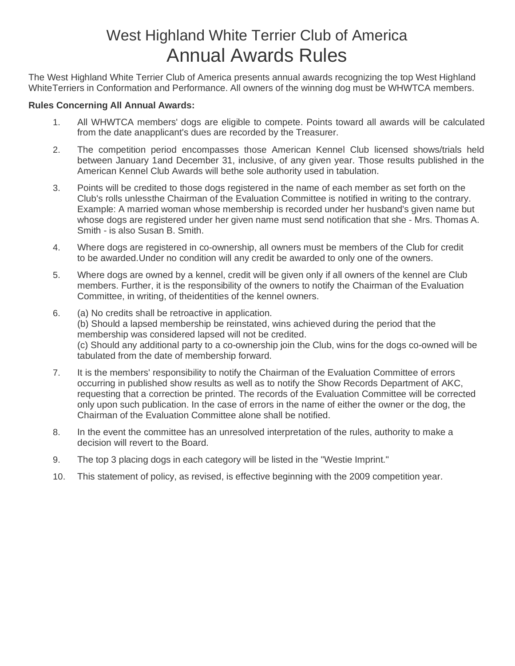# West Highland White Terrier Club of America Annual Awards Rules

The West Highland White Terrier Club of America presents annual awards recognizing the top West Highland WhiteTerriers in Conformation and Performance. All owners of the winning dog must be WHWTCA members.

### **Rules Concerning All Annual Awards:**

- 1. All WHWTCA members' dogs are eligible to compete. Points toward all awards will be calculated from the date anapplicant's dues are recorded by the Treasurer.
- 2. The competition period encompasses those American Kennel Club licensed shows/trials held between January 1and December 31, inclusive, of any given year. Those results published in the American Kennel Club Awards will bethe sole authority used in tabulation.
- 3. Points will be credited to those dogs registered in the name of each member as set forth on the Club's rolls unlessthe Chairman of the Evaluation Committee is notified in writing to the contrary. Example: A married woman whose membership is recorded under her husband's given name but whose dogs are registered under her given name must send notification that she - Mrs. Thomas A. Smith - is also Susan B. Smith.
- 4. Where dogs are registered in co-ownership, all owners must be members of the Club for credit to be awarded.Under no condition will any credit be awarded to only one of the owners.
- 5. Where dogs are owned by a kennel, credit will be given only if all owners of the kennel are Club members. Further, it is the responsibility of the owners to notify the Chairman of the Evaluation Committee, in writing, of theidentities of the kennel owners.
- 6. (a) No credits shall be retroactive in application. (b) Should a lapsed membership be reinstated, wins achieved during the period that the membership was considered lapsed will not be credited. (c) Should any additional party to a co-ownership join the Club, wins for the dogs co-owned will be tabulated from the date of membership forward.
- 7. It is the members' responsibility to notify the Chairman of the Evaluation Committee of errors occurring in published show results as well as to notify the Show Records Department of AKC, requesting that a correction be printed. The records of the Evaluation Committee will be corrected only upon such publication. In the case of errors in the name of either the owner or the dog, the Chairman of the Evaluation Committee alone shall be notified.
- 8. In the event the committee has an unresolved interpretation of the rules, authority to make a decision will revert to the Board.
- 9. The top 3 placing dogs in each category will be listed in the "Westie Imprint."
- 10. This statement of policy, as revised, is effective beginning with the 2009 competition year.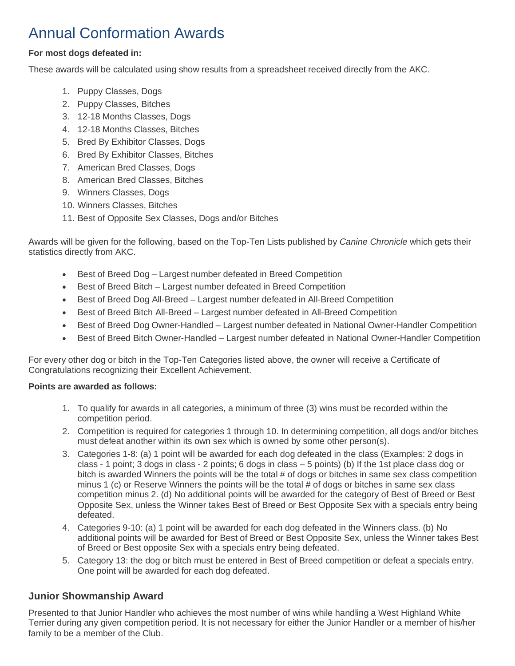## Annual Conformation Awards

### **For most dogs defeated in:**

These awards will be calculated using show results from a spreadsheet received directly from the AKC.

- 1. Puppy Classes, Dogs
- 2. Puppy Classes, Bitches
- 3. 12-18 Months Classes, Dogs
- 4. 12-18 Months Classes, Bitches
- 5. Bred By Exhibitor Classes, Dogs
- 6. Bred By Exhibitor Classes, Bitches
- 7. American Bred Classes, Dogs
- 8. American Bred Classes, Bitches
- 9. Winners Classes, Dogs
- 10. Winners Classes, Bitches
- 11. Best of Opposite Sex Classes, Dogs and/or Bitches

Awards will be given for the following, based on the Top-Ten Lists published by *Canine Chronicle* which gets their statistics directly from AKC.

- Best of Breed Dog Largest number defeated in Breed Competition
- Best of Breed Bitch Largest number defeated in Breed Competition
- Best of Breed Dog All-Breed Largest number defeated in All-Breed Competition
- Best of Breed Bitch All-Breed Largest number defeated in All-Breed Competition
- Best of Breed Dog Owner-Handled Largest number defeated in National Owner-Handler Competition
- Best of Breed Bitch Owner-Handled Largest number defeated in National Owner-Handler Competition

For every other dog or bitch in the Top-Ten Categories listed above, the owner will receive a Certificate of Congratulations recognizing their Excellent Achievement.

### **Points are awarded as follows:**

- 1. To qualify for awards in all categories, a minimum of three (3) wins must be recorded within the competition period.
- 2. Competition is required for categories 1 through 10. In determining competition, all dogs and/or bitches must defeat another within its own sex which is owned by some other person(s).
- 3. Categories 1-8: (a) 1 point will be awarded for each dog defeated in the class (Examples: 2 dogs in class - 1 point; 3 dogs in class - 2 points; 6 dogs in class – 5 points) (b) If the 1st place class dog or bitch is awarded Winners the points will be the total # of dogs or bitches in same sex class competition minus 1 (c) or Reserve Winners the points will be the total # of dogs or bitches in same sex class competition minus 2. (d) No additional points will be awarded for the category of Best of Breed or Best Opposite Sex, unless the Winner takes Best of Breed or Best Opposite Sex with a specials entry being defeated.
- 4. Categories 9-10: (a) 1 point will be awarded for each dog defeated in the Winners class. (b) No additional points will be awarded for Best of Breed or Best Opposite Sex, unless the Winner takes Best of Breed or Best opposite Sex with a specials entry being defeated.
- 5. Category 13: the dog or bitch must be entered in Best of Breed competition or defeat a specials entry. One point will be awarded for each dog defeated.

### **Junior Showmanship Award**

Presented to that Junior Handler who achieves the most number of wins while handling a West Highland White Terrier during any given competition period. It is not necessary for either the Junior Handler or a member of his/her family to be a member of the Club.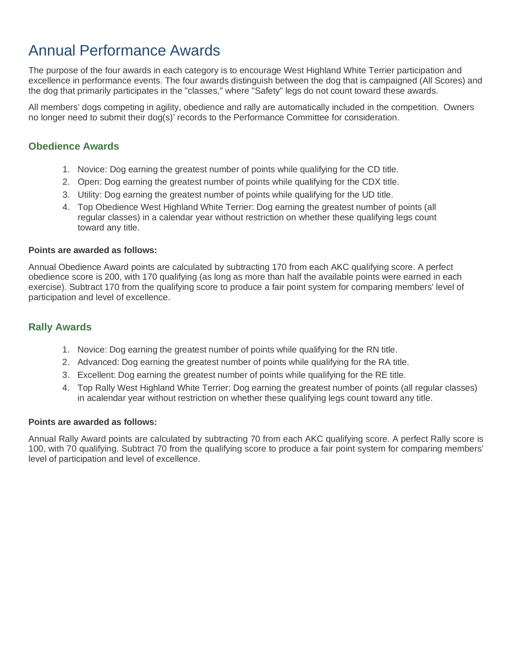## Annual Performance Awards

The purpose of the four awards in each category is to encourage West Highland White Terrier participation and excellence in performance events. The four awards distinguish between the dog that is campaigned (All Scores) and the dog that primarily participates in the "classes," where "Safety" legs do not count toward these awards.

All members' dogs competing in agility, obedience and rally are automatically included in the competition. Owners no longer need to submit their dog(s)' records to the Performance Committee for consideration.

### **Obedience Awards**

- 1. Novice: Dog earning the greatest number of points while qualifying for the CD title.
- 2. Open: Dog earning the greatest number of points while qualifying for the CDX title.
- 3. Utility: Dog earning the greatest number of points while qualifying for the UD title.
- 4. Top Obedience West Highland White Terrier: Dog earning the greatest number of points (all regular classes) in a calendar year without restriction on whether these qualifying legs count toward any title.

### **Points are awarded as follows:**

Annual Obedience Award points are calculated by subtracting 170 from each AKC qualifying score. A perfect obedience score is 200, with 170 qualifying (as long as more than half the available points were earned in each exercise). Subtract 170 from the qualifying score to produce a fair point system for comparing members' level of participation and level of excellence.

### **Rally Awards**

- 1. Novice: Dog earning the greatest number of points while qualifying for the RN title.
- 2. Advanced: Dog earning the greatest number of points while qualifying for the RA title.
- 3. Excellent: Dog earning the greatest number of points while qualifying for the RE title.
- 4. Top Rally West Highland White Terrier: Dog earning the greatest number of points (all regular classes) in acalendar year without restriction on whether these qualifying legs count toward any title.

### **Points are awarded as follows:**

Annual Rally Award points are calculated by subtracting 70 from each AKC qualifying score. A perfect Rally score is 100, with 70 qualifying. Subtract 70 from the qualifying score to produce a fair point system for comparing members' level of participation and level of excellence.